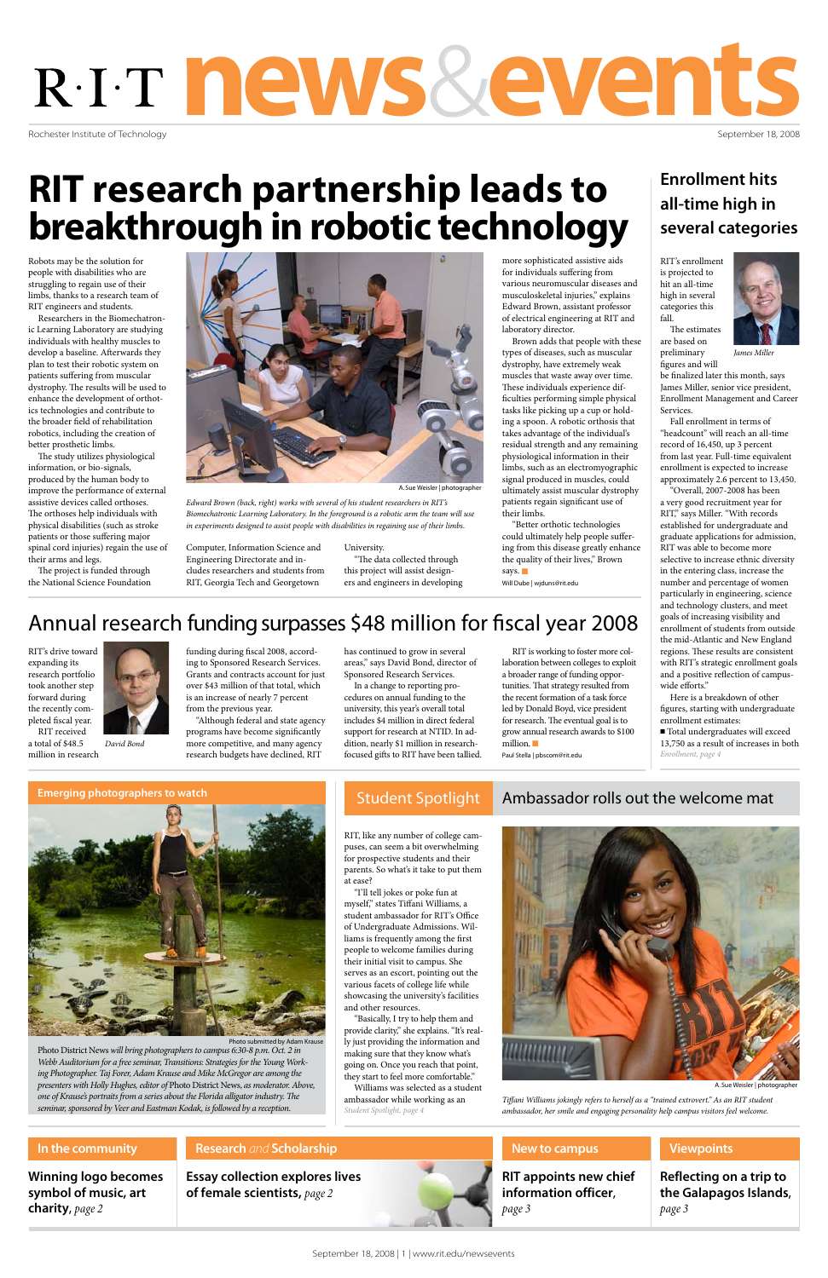September 18, 2008 | 1 | www.rit.edu/newsevents

Rochester Institute of Technology

# news&events

September 18, 2008

Robots may be the solution for people with disabilities who are struggling to regain use of their limbs, thanks to a research team of RIT engineers and students.

Researchers in the Biomechatronic Learning Laboratory are studying individuals with healthy muscles to develop a baseline. Afterwards they plan to test their robotic system on patients suffering from muscular dystrophy. The results will be used to enhance the development of orthotics technologies and contribute to the broader field of rehabilitation robotics, including the creation of better prosthetic limbs.

The study utilizes physiological information, or bio-signals, produced by the human body to improve the performance of external assistive devices called orthoses. The orthoses help individuals with physical disabilities (such as stroke patients or those suffering major spinal cord injuries) regain the use of their arms and legs.

"Better orthotic technologies could ultimately help people suffering from this disease greatly enhance the quality of their lives," Brown says.  $\blacksquare$ 

The project is funded through the National Science Foundation



A. Sue Weisler | ph

Computer, Information Science and Engineering Directorate and includes researchers and students from RIT, Georgia Tech and Georgetown

University. "The data collected through this project will assist designers and engineers in developing

more sophisticated assistive aids for individuals suffering from various neuromuscular diseases and musculoskeletal injuries," explains Edward Brown, assistant professor of electrical engineering at RIT and laboratory director.

Brown adds that people with these types of diseases, such as muscular dystrophy, have extremely weak muscles that waste away over time. These individuals experience difficulties performing simple physical tasks like picking up a cup or holding a spoon. A robotic orthosis that takes advantage of the individual's residual strength and any remaining physiological information in their limbs, such as an electromyographic signal produced in muscles, could ultimately assist muscular dystrophy patients regain significant use of their limbs.

Will Dube | wjduns@rit.edu

Photo District News *will bring photographers to campus 6:30-8 p.m. Oct. 2 in Webb Auditorium for a free seminar, Transitions: Strategies for the Young Working Photographer. Taj Forer, Adam Krause and Mike McGregor are among the presenters with Holly Hughes, editor of* Photo District News, *as moderator. Above, one of Krause's portraits from a series about the Florida alligator industry. The seminar, sponsored by Veer and Eastman Kodak, is followed by a reception.* 

# **RIT research partnership leads to breakthrough in robotic technology**

*Edward Brown (back, right) works with several of his student researchers in RIT's Biomechatronic Learning Laboratory. In the foreground is a robotic arm the team will use in experiments designed to assist people with disabilities in regaining use of their limbs.*

> RIT is working to foster more collaboration between colleges to exploit a broader range of funding opportunities. That strategy resulted from the recent formation of a task force led by Donald Boyd, vice president for research. The eventual goal is to grow annual research awards to \$100 million.  $\blacksquare$

## **Enrollment hits all-time high in several categories**

RIT, like any number of college campuses, can seem a bit overwhelming for prospective students and their parents. So what's it take to put them at ease?

#### **Essay collection explores lives of female scientists,** *page 2* **Research** *and* **Scholarship Winning logo becomes symbol of music, art charity**, *page 2* **In the community Reflecting on a trip to the Galapagos Islands**, *page 3* **Viewpoints RIT appoints new chief information officer**, *page 3* **New to campus**

*Student Spotlight, page 4* "I'll tell jokes or poke fun at myself," states Tiffani Williams, a student ambassador for RIT's Office of Undergraduate Admissions. Williams is frequently among the first people to welcome families during their initial visit to campus. She serves as an escort, pointing out the various facets of college life while showcasing the university's facilities and other resources. "Basically, I try to help them and provide clarity," she explains. "It's really just providing the information and making sure that they know what's going on. Once you reach that point, they start to feel more comfortable." Williams was selected as a student

## Emerging photographers to watch **Student Spotlight** Ambassador rolls out the welcome mat





Photo submitted by Adam Kraus

ambassador while working as an *Tiffani Williams jokingly refers to herself as a "trained extrovert." As an RIT student ambassador, her smile and engaging personality help campus visitors feel welcome.*

A. Sue Weisler | photographer

RIT's enrollment is projected to hit an all-time high in several categories this fall.



The estimates are based on preliminary

be finalized later this month, says James Miller, senior vice president, Enrollment Management and Career Services.

Fall enrollment in terms of "headcount" will reach an all-time record of 16,450, up 3 percent from last year. Full-time equivalent enrollment is expected to increase approximately 2.6 percent to 13,450.

figures and will *James Miller*

"Overall, 2007-2008 has been a very good recruitment year for RIT," says Miller. "With records established for undergraduate and graduate applications for admission, RIT was able to become more selective to increase ethnic diversity in the entering class, increase the number and percentage of women particularly in engineering, science and technology clusters, and meet goals of increasing visibility and enrollment of students from outside the mid-Atlantic and New England regions. These results are consistent with RIT's strategic enrollment goals and a positive reflection of campuswide efforts."

Here is a breakdown of other figures, starting with undergraduate enrollment estimates:

RIT's drive toward expanding its research portfolio took another step forward during the recently completed fiscal year. RIT received



funding during fiscal 2008, according to Sponsored Research Services. Grants and contracts account for just over \$43 million of that total, which is an increase of nearly 7 percent from the previous year.

"Although federal and state agency programs have become significantly more competitive, and many agency research budgets have declined, RIT

has continued to grow in several areas," says David Bond, director of Sponsored Research Services.

> <sup>n</sup> Total undergraduates will exceed 13,750 as a result of increases in both *Enrollment, page 4*



a total of \$48.5 million in research *David Bond*

In a change to reporting procedures on annual funding to the university, this year's overall total includes \$4 million in direct federal support for research at NTID. In addition, nearly \$1 million in researchfocused gifts to RIT have been tallied.

Paul Stella | pbscom@rit.edu

# Annual research funding surpasses \$48 million for fiscal year 2008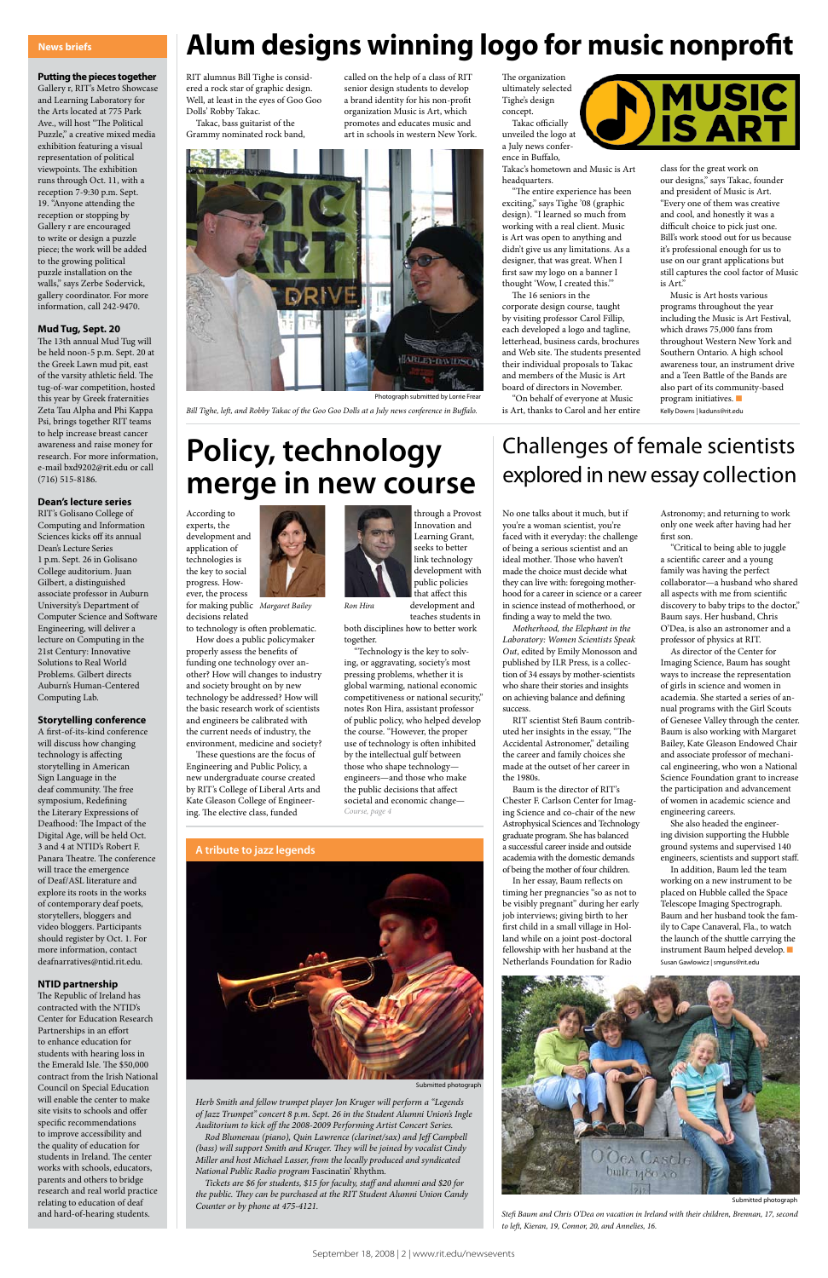#### **Putting the pieces together**

Gallery r, RIT's Metro Showcase and Learning Laboratory for the Arts located at 775 Park Ave., will host "The Political Puzzle," a creative mixed media exhibition featuring a visual representation of political viewpoints. The exhibition runs through Oct. 11, with a reception 7-9:30 p.m. Sept. 19. "Anyone attending the reception or stopping by Gallery r are encouraged to write or design a puzzle piece; the work will be added to the growing political puzzle installation on the walls," says Zerbe Sodervick, gallery coordinator. For more information, call 242-9470.

#### **Mud Tug, Sept. 20**

The 13th annual Mud Tug will be held noon-5 p.m. Sept. 20 at the Greek Lawn mud pit, east of the varsity athletic field. The tug-of-war competition, hosted this year by Greek fraternities Zeta Tau Alpha and Phi Kappa Psi, brings together RIT teams to help increase breast cancer awareness and raise money for research. For more information, e-mail bxd9202@rit.edu or call (716) 515-8186.

#### **Dean's lecture series**

RIT's Golisano College of Computing and Information Sciences kicks off its annual Dean's Lecture Series 1 p.m. Sept. 26 in Golisano College auditorium. Juan Gilbert, a distinguished associate professor in Auburn University's Department of Computer Science and Software Engineering, will deliver a lecture on Computing in the 21st Century: Innovative Solutions to Real World Problems. Gilbert directs Auburn's Human-Centered Computing Lab.

#### **Storytelling conference**

A first-of-its-kind conference will discuss how changing technology is affecting storytelling in American Sign Language in the deaf community. The free symposium, Redefining the Literary Expressions of Deafhood: The Impact of the Digital Age, will be held Oct. 3 and 4 at NTID's Robert F. Panara Theatre. The conference will trace the emergence of Deaf/ASL literature and explore its roots in the works of contemporary deaf poets, storytellers, bloggers and video bloggers. Participants should register by Oct. 1. For more information, contact deafnarratives@ntid.rit.edu.

#### **NTID partnership**

The Republic of Ireland has contracted with the NTID's Center for Education Research Partnerships in an effort to enhance education for students with hearing loss in the Emerald Isle. The \$50,000 contract from the Irish National Council on Special Education will enable the center to make site visits to schools and offer specific recommendations to improve accessibility and the quality of education for students in Ireland. The center works with schools, educators, parents and others to bridge research and real world practice relating to education of deaf and hard-of-hearing students.

#### **News briefs**

decisions related to technology is often problematic.

How does a public policymaker properly assess the benefits of funding one technology over another? How will changes to industry and society brought on by new technology be addressed? How will the basic research work of scientists and engineers be calibrated with the current needs of industry, the environment, medicine and society?

These questions are the focus of Engineering and Public Policy, a new undergraduate course created by RIT's College of Liberal Arts and Kate Gleason College of Engineering. The elective class, funded

through a Provost Innovation and Learning Grant, seeks to better link technology development with public policies that affect this development and

teaches students in both disciplines how to better work together.

RIT alumnus Bill Tighe is considered a rock star of graphic design. Well, at least in the eyes of Goo Goo Dolls' Robby Takac.

Takac, bass guitarist of the Grammy nominated rock band,

called on the help of a class of RIT senior design students to develop a brand identity for his non-profit organization Music is Art, which promotes and educates music and art in schools in western New York.

The organization ultimately selected Tighe's design concept.

Takac officially unveiled the logo at a July news conference in Buffalo,

Takac's hometown and Music is Art headquarters.

# Challenges of female scientists **Policy, technology** Challenges of female scientists<br> **Policy, technology** explored in new essay collection

"The entire experience has been exciting," says Tighe '08 (graphic design). "I learned so much from working with a real client. Music is Art was open to anything and didn't give us any limitations. As a designer, that was great. When I first saw my logo on a banner I thought 'Wow, I created this.'"

The 16 seniors in the corporate design course, taught by visiting professor Carol Fillip, each developed a logo and tagline, letterhead, business cards, brochures and Web site. The students presented their individual proposals to Takac and members of the Music is Art board of directors in November.

"On behalf of everyone at Music is Art, thanks to Carol and her entire class for the great work on our designs," says Takac, founder and president of Music is Art. "Every one of them was creative and cool, and honestly it was a difficult choice to pick just one. Bill's work stood out for us because it's professional enough for us to use on our grant applications but still captures the cool factor of Music is Art."

**MUSIC<br>IS ART** 

Music is Art hosts various programs throughout the year including the Music is Art Festival, which draws 75,000 fans from throughout Western New York and Southern Ontario. A high school awareness tour, an instrument drive and a Teen Battle of the Bands are also part of its community-based program initiatives.  $\blacksquare$ Kelly Downs | kaduns@rit.edu

No one talks about it much, but if you're a woman scientist, you're faced with it everyday: the challenge of being a serious scientist and an ideal mother. Those who haven't made the choice must decide what they can live with: foregoing motherhood for a career in science or a career in science instead of motherhood, or finding a way to meld the two.

According to experts, the development and application of technologies is the key to social progress. However, the process for making public *Margaret Bailey Ron Hira* 

> *Motherhood, the Elephant in the Laboratory: Women Scientists Speak Out*, edited by Emily Monosson and published by ILR Press, is a collection of 34 essays by mother-scientists who share their stories and insights on achieving balance and defining success.

RIT scientist Stefi Baum contributed her insights in the essay, "The Accidental Astronomer," detailing the career and family choices she made at the outset of her career in the 1980s.

"Technology is the key to solving, or aggravating, society's most pressing problems, whether it is global warming, national economic competitiveness or national security," notes Ron Hira, assistant professor of public policy, who helped develop the course. "However, the proper use of technology is often inhibited by the intellectual gulf between those who shape technology engineers—and those who make the public decisions that affect societal and economic change— *Course, page 4*

Baum is the director of RIT's Chester F. Carlson Center for Imaging Science and co-chair of the new Astrophysical Sciences and Technology graduate program. She has balanced a successful career inside and outside academia with the domestic demands of being the mother of four children.

In her essay, Baum reflects on timing her pregnancies "so as not to be visibly pregnant" during her early job interviews; giving birth to her first child in a small village in Holland while on a joint post-doctoral

fellowship with her husband at the Netherlands Foundation for Radio

Astronomy; and returning to work only one week after having had her first son.

"Critical to being able to juggle a scientific career and a young family was having the perfect collaborator—a husband who shared all aspects with me from scientific discovery to baby trips to the doctor," Baum says. Her husband, Chris O'Dea, is also an astronomer and a professor of physics at RIT.

As director of the Center for Imaging Science, Baum has sought ways to increase the representation of girls in science and women in academia. She started a series of annual programs with the Girl Scouts of Genesee Valley through the center. Baum is also working with Margaret Bailey, Kate Gleason Endowed Chair and associate professor of mechanical engineering, who won a National Science Foundation grant to increase the participation and advancement of women in academic science and engineering careers.

She also headed the engineering division supporting the Hubble ground systems and supervised 140 engineers, scientists and support staff.

In addition, Baum led the team working on a new instrument to be placed on Hubble called the Space Telescope Imaging Spectrograph. Baum and her husband took the family to Cape Canaveral, Fla., to watch the launch of the shuttle carrying the instrument Baum helped develop.  $\blacksquare$ Susan Gawlowicz | smguns@rit.edu



*Herb Smith and fellow trumpet player Jon Kruger will perform a "Legends of Jazz Trumpet" concert 8 p.m. Sept. 26 in the Student Alumni Union's Ingle Auditorium to kick off the 2008-2009 Performing Artist Concert Series.* 

*Rod Blumenau (piano), Quin Lawrence (clarinet/sax) and Jeff Campbell (bass) will support Smith and Kruger. They will be joined by vocalist Cindy Miller and host Michael Lasser, from the locally produced and syndicated National Public Radio program* Fascinatin' Rhythm*.*

*Tickets are \$6 for students, \$15 for faculty, staff and alumni and \$20 for the public. They can be purchased at the RIT Student Alumni Union Candy Counter or by phone at 475-4121.* 



Submitted photograph

# **Alum designs winning logo for music nonprofit**

# **merge in new course**

*Bill Tighe, left, and Robby Takac of the Goo Goo Dolls at a July news conference in Buffalo.* 



Photograph submitted by Lorrie Frear

*Stefi Baum and Chris O'Dea on vacation in Ireland with their children, Brennan, 17, second to left, Kieran, 19, Connor, 20, and Annelies, 16.*



Submitted photograph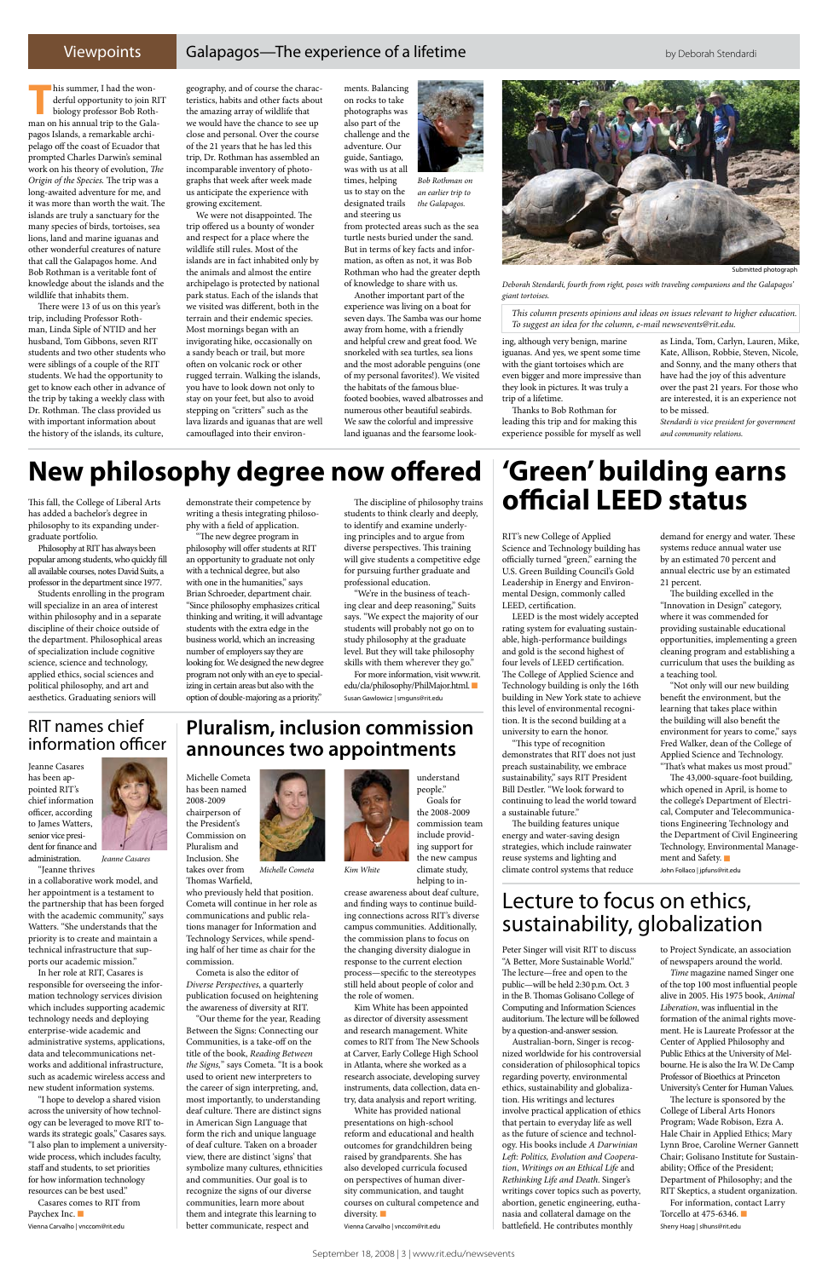#### Viewpoints Galapagos—The experience of a lifetime by Deborah Stendardi

his summer, I had the won-<br>derful opportunity to join R<br>biology professor Bob Roth<br>man on bis grapual trin to the Cole derful opportunity to join RIT biology professor Bob Rothman on his annual trip to the Galapagos Islands, a remarkable archipelago off the coast of Ecuador that prompted Charles Darwin's seminal work on his theory of evolution, *The Origin of the Species.* The trip was a long-awaited adventure for me, and it was more than worth the wait. The islands are truly a sanctuary for the many species of birds, tortoises, sea lions, land and marine iguanas and other wonderful creatures of nature that call the Galapagos home. And Bob Rothman is a veritable font of knowledge about the islands and the wildlife that inhabits them.

There were 13 of us on this year's trip, including Professor Rothman, Linda Siple of NTID and her husband, Tom Gibbons, seven RIT students and two other students who were siblings of a couple of the RIT students. We had the opportunity to get to know each other in advance of the trip by taking a weekly class with Dr. Rothman. The class provided us with important information about the history of the islands, its culture,

geography, and of course the characteristics, habits and other facts about the amazing array of wildlife that we would have the chance to see up close and personal. Over the course of the 21 years that he has led this trip, Dr. Rothman has assembled an incomparable inventory of photographs that week after week made us anticipate the experience with growing excitement.

We were not disappointed. The trip offered us a bounty of wonder and respect for a place where the wildlife still rules. Most of the islands are in fact inhabited only by the animals and almost the entire archipelago is protected by national park status. Each of the islands that we visited was different, both in the terrain and their endemic species. Most mornings began with an invigorating hike, occasionally on a sandy beach or trail, but more often on volcanic rock or other rugged terrain. Walking the islands, you have to look down not only to stay on your feet, but also to avoid stepping on "critters" such as the lava lizards and iguanas that are well camouflaged into their environ-

ments. Balancing on rocks to take photographs was also part of the challenge and the adventure. Our guide, Santiago, was with us at all times, helping us to stay on the designated trails

and steering us from protected areas such as the sea turtle nests buried under the sand. But in terms of key facts and information, as often as not, it was Bob Rothman who had the greater depth of knowledge to share with us.

Another important part of the experience was living on a boat for seven days. The Samba was our home away from home, with a friendly and helpful crew and great food. We snorkeled with sea turtles, sea lions and the most adorable penguins (one of my personal favorites!). We visited the habitats of the famous bluefooted boobies, waved albatrosses and numerous other beautiful seabirds. We saw the colorful and impressive land iguanas and the fearsome look-

ing, although very benign, marine iguanas. And yes, we spent some time with the giant tortoises which are even bigger and more impressive than they look in pictures. It was truly a trip of a lifetime.

Thanks to Bob Rothman for leading this trip and for making this experience possible for myself as well as Linda, Tom, Carlyn, Lauren, Mike, Kate, Allison, Robbie, Steven, Nicole, and Sonny, and the many others that have had the joy of this adventure over the past 21 years. For those who are interested, it is an experience not to be missed.

*Stendardi is vice president for government and community relations.* 

This fall, the College of Liberal Arts has added a bachelor's degree in philosophy to its expanding undergraduate portfolio.

Philosophy at RIT has always been popular among students, who quickly fill all available courses, notes David Suits, a professor in the department since 1977.

Students enrolling in the program will specialize in an area of interest within philosophy and in a separate discipline of their choice outside of the department. Philosophical areas of specialization include cognitive science, science and technology, applied ethics, social sciences and political philosophy, and art and aesthetics. Graduating seniors will

demonstrate their competence by writing a thesis integrating philosophy with a field of application.

> The 43,000-square-foot building, which opened in April, is home to the college's Department of Electrical, Computer and Telecommunications Engineering Technology and the Department of Civil Engineering Technology, Environmental Management and Safety.

"The new degree program in philosophy will offer students at RIT an opportunity to graduate not only with a technical degree, but also with one in the humanities," says Brian Schroeder, department chair. "Since philosophy emphasizes critical thinking and writing, it will advantage students with the extra edge in the business world, which an increasing number of employers say they are looking for. We designed the new degree program not only with an eye to specializing in certain areas but also with the option of double-majoring as a priority."

The discipline of philosophy trains students to think clearly and deeply, to identify and examine underlying principles and to argue from diverse perspectives. This training will give students a competitive edge for pursuing further graduate and professional education.

crease awareness about deaf culture, and finding ways to continue building connections across RIT's diverse campus communities. Additionally, the commission plans to focus on the changing diversity dialogue in response to the current election process—specific to the stereotypes still held about people of color and the role of women. Kim White has been appointed as director of diversity assessment and research management. White comes to RIT from The New Schools at Carver, Early College High School in Atlanta, where she worked as a research associate, developing survey instruments, data collection, data entry, data analysis and report writing. White has provided national presentations on high-school reform and educational and health outcomes for grandchildren being raised by grandparents. She has also developed curricula focused on perspectives of human diversity communication, and taught courses on cultural competence and diversity.  $\blacksquare$ 

"We're in the business of teaching clear and deep reasoning," Suits says. "We expect the majority of our students will probably not go on to study philosophy at the graduate level. But they will take philosophy skills with them wherever they go."

For more information, visit www.rit. edu/cla/philosophy/PhilMajor.html. Susan Gawlowicz | smguns@rit.edu

> Peter Singer will visit RIT to discuss "A Better, More Sustainable World." The lecture—free and open to the public—will be held 2:30 p.m. Oct. 3 in the B. Thomas Golisano College of Computing and Information Sciences auditorium. The lecture will be followed by a question-and-answer session.

Australian-born, Singer is recognized worldwide for his controversial consideration of philosophical topics regarding poverty, environmental ethics, sustainability and globalization. His writings and lectures involve practical application of ethics that pertain to everyday life as well as the future of science and technology. His books include *A Darwinian Left: Politics, Evolution and Cooperation*, *Writings on an Ethical Life* and *Rethinking Life and Death*. Singer's writings cover topics such as poverty, abortion, genetic engineering, euthanasia and collateral damage on the battlefield. He contributes monthly

priority is to create and mainta technical infrastructure that supports our academic mission."

to Project Syndicate, an association of newspapers around the world.

*Time* magazine named Singer one of the top 100 most influential people alive in 2005. His 1975 book, *Animal Liberation*, was influential in the formation of the animal rights movement. He is Laureate Professor at the Center of Applied Philosophy and Public Ethics at the University of Melbourne. He is also the Ira W. De Camp Professor of Bioethics at Princeton University's Center for Human Values.

The lecture is sponsored by the College of Liberal Arts Honors Program; Wade Robison, Ezra A. Hale Chair in Applied Ethics; Mary Lynn Broe, Caroline Werner Gannett Chair; Golisano Institute for Sustainability; Office of the President; Department of Philosophy; and the RIT Skeptics, a student organization. For information, contact Larry Torcello at 475-6346.  $\blacksquare$ Sherry Hoag | slhuns@rit.edu

RIT's new College of Applied Science and Technology building has officially turned "green," earning the U.S. Green Building Council's Gold Leadership in Energy and Environmental Design, commonly called LEED, certification.

LEED is the most widely accepted rating system for evaluating sustainable, high-performance buildings and gold is the second highest of four levels of LEED certification. The College of Applied Science and Technology building is only the 16th building in New York state to achieve this level of environmental recognition. It is the second building at a university to earn the honor.

"This type of recognition demonstrates that RIT does not just preach sustainability, we embrace sustainability," says RIT President Bill Destler. "We look forward to continuing to lead the world toward a sustainable future."

The building features unique energy and water-saving design strategies, which include rainwater reuse systems and lighting and climate control systems that reduce demand for energy and water. These systems reduce annual water use by an estimated 70 percent and annual electric use by an estimated 21 percent.

The building excelled in the "Innovation in Design" category, where it was commended for providing sustainable educational opportunities, implementing a green cleaning program and establishing a curriculum that uses the building as a teaching tool.

"Not only will our new building benefit the environment, but the learning that takes place within the building will also benefit the environment for years to come," says Fred Walker, dean of the College of Applied Science and Technology. "That's what makes us most proud."

John Follaco | jpfuns@rit.edu

Michelle Cometa has been named 2008-2009 chairperson of the President's Commission on Pluralism and Inclusion. She



takes over from Thomas Warfield,

who previously held that position. Cometa will continue in her role as communications and public relations manager for Information and Technology Services, while spending half of her time as chair for the commission.

Cometa is also the editor of *Diverse Perspectives*, a quarterly publication focused on heightening the awareness of diversity at RIT.

"Our theme for the year, Reading Between the Signs: Connecting our Communities, is a take-off on the title of the book, *Reading Between the Signs,*" says Cometa. "It is a book used to orient new interpreters to the career of sign interpreting, and, most importantly, to understanding deaf culture. There are distinct signs in American Sign Language that form the rich and unique language of deaf culture. Taken on a broader view, there are distinct 'signs' that symbolize many cultures, ethnicities and communities. Our goal is to recognize the signs of our diverse communities, learn more about them and integrate this learning to better communicate, respect and

understand

people." Goals for the 2008-2009 include providing support for climate study, helping to in-

commission team the new campus

Vienna Carvalho | vnccom@rit.edu

*This column presents opinions and ideas on issues relevant to higher education. To suggest an idea for the column, e-mail newsevents@rit.edu.*

# **New philosophy degree now offered**

## Lecture to focus on ethics, sustainability, globalization

## **Pluralism, inclusion commission announces two appointments**

# **'Green' building earns official LEED status**

*Michelle Cometa Kim White*

*Deborah Stendardi, fourth from right, poses with traveling companions and the Galapagos' giant tortoises.*



Submitted photograph

Jeanne Casares has been appointed RIT's chief information officer, according to James Watters, senior vice president for finance and administration.

in a collaborative work model, and her appointment is a testament to the partnership that has been forged with the academic community," says Watters. "She understands that the

In her role at RIT, Casares is responsible for overseeing the information technology services division which includes supporting academic technology needs and deploying enterprise-wide academic and administrative systems, applications, data and telecommunications networks and additional infrastructure, such as academic wireless access and new student information systems.

"Jeanne thrives *Jeanne Casares*

"I hope to develop a shared vision across the university of how technology can be leveraged to move RIT towards its strategic goals," Casares says. "I also plan to implement a universitywide process, which includes faculty, staff and students, to set priorities for how information technology resources can be best used."

Casares comes to RIT from Paychex Inc. Vienna Carvalho | vnccom@rit.edu

### RIT names chief information officer

*Bob Rothman on an earlier trip to the Galapagos.*